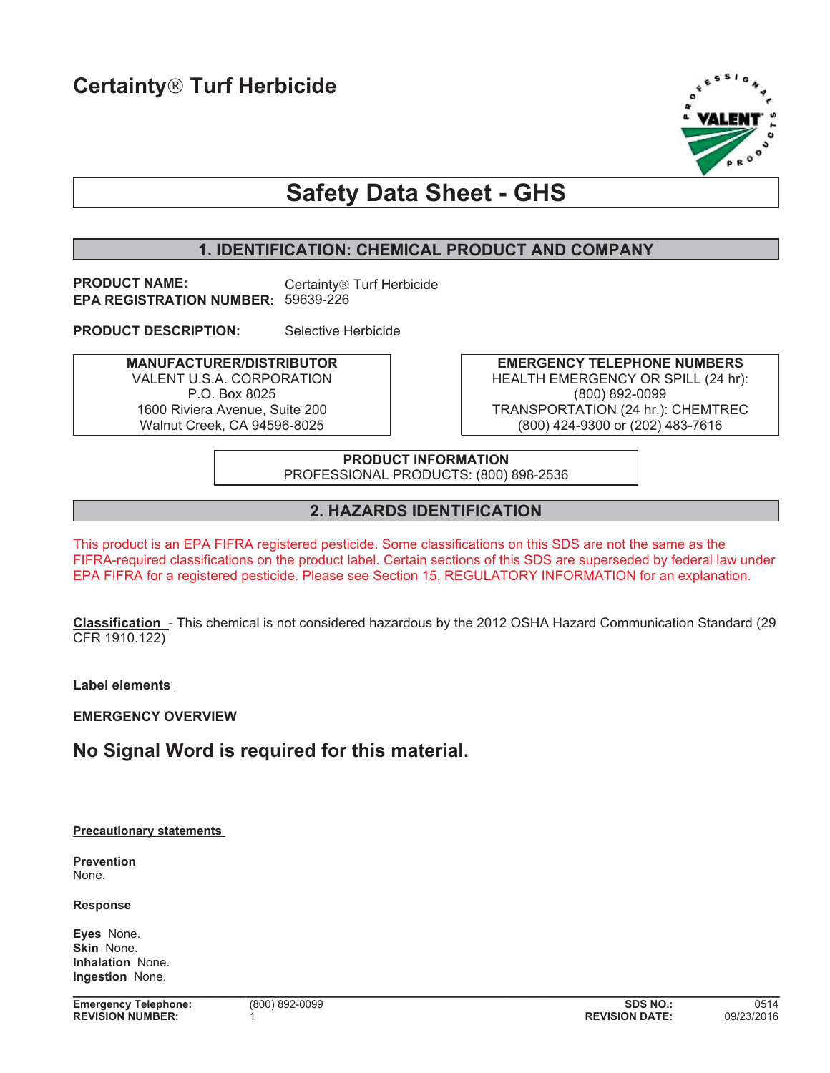

# **Safety Data Sheet - GHS**

# **1. IDENTIFICATION: CHEMICAL PRODUCT AND COMPANY**

**PRODUCT NAME:** Certainty<sup>®</sup> Turf Herbicide **EPA REGISTRATION NUMBER:** 59639-226

**PRODUCT DESCRIPTION:** Selective Herbicide

**MANUFACTURER/DISTRIBUTOR** VALENT U.S.A. CORPORATION P.O. Box 8025 1600 Riviera Avenue, Suite 200 Walnut Creek, CA 94596-8025

**EMERGENCY TELEPHONE NUMBERS** HEALTH EMERGENCY OR SPILL (24 hr): (800) 892-0099 TRANSPORTATION (24 hr.): CHEMTREC (800) 424-9300 or (202) 483-7616

**PRODUCT INFORMATION** PROFESSIONAL PRODUCTS: (800) 898-2536

## **2. HAZARDS IDENTIFICATION**

This product is an EPA FIFRA registered pesticide. Some classifications on this SDS are not the same as the FIFRA-required classifications on the product label. Certain sections of this SDS are superseded by federal law under EPA FIFRA for a registered pesticide. Please see Section 15, REGULATORY INFORMATION for an explanation.

**Classification** - This chemical is not considered hazardous by the 2012 OSHA Hazard Communication Standard (29 CFR 1910.122)

**Label elements** 

**EMERGENCY OVERVIEW**

# **No Signal Word is required for this material.**

**Precautionary statements** 

**Prevention** None.

**Response**

**Eyes** None. **Skin** None. **Inhalation** None. **Ingestion** None.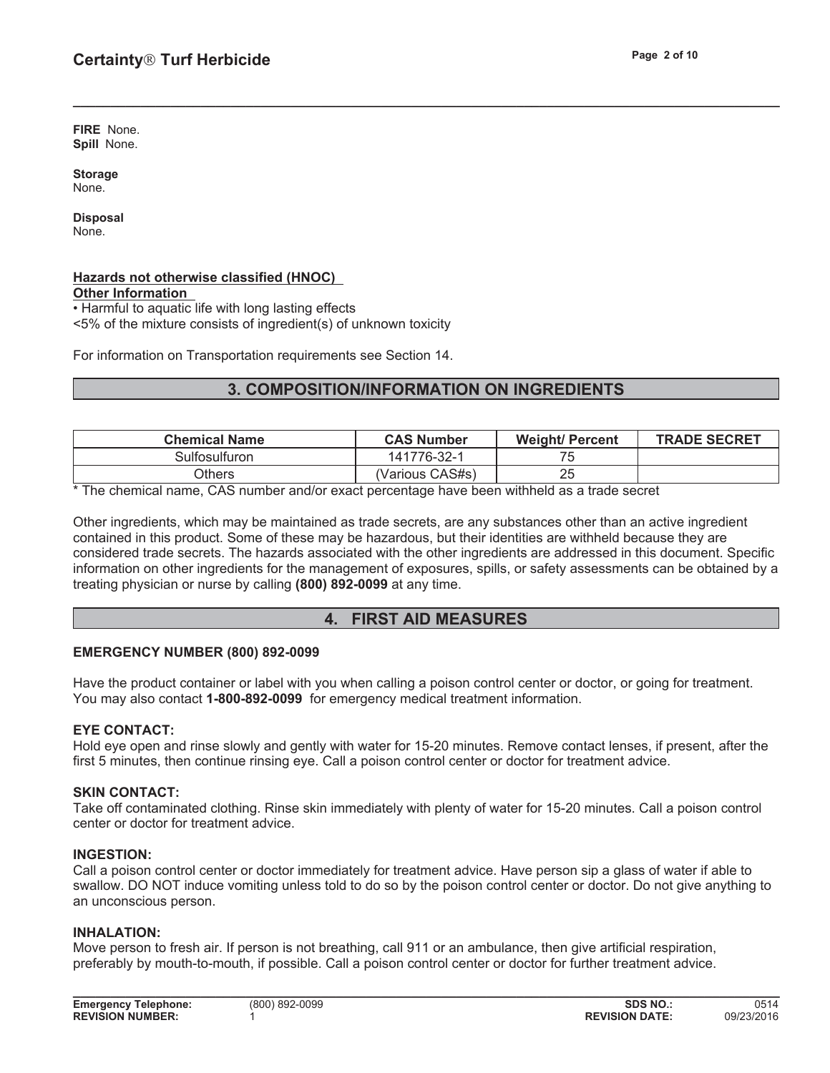**FIRE** None. **Spill** None.

**Storage** None.

**Disposal** None.

#### **Hazards not otherwise classified (HNOC) Other Information**

• Harmful to aquatic life with long lasting effects <5% of the mixture consists of ingredient(s) of unknown toxicity

For information on Transportation requirements see Section 14.

# **3. COMPOSITION/INFORMATION ON INGREDIENTS**

**\_\_\_\_\_\_\_\_\_\_\_\_\_\_\_\_\_\_\_\_\_\_\_\_\_\_\_\_\_\_\_\_\_\_\_\_\_\_\_\_\_\_\_\_\_\_\_\_\_\_\_\_\_\_\_\_\_\_\_\_\_\_\_\_\_\_\_\_\_\_\_\_\_\_\_\_\_\_\_\_\_\_\_\_\_\_\_\_\_\_\_\_\_\_**

| <b>Chemical Name</b> | <b>CAS Number</b> | <b>Weight/ Percent</b> | <b>TRADE SECRET</b> |
|----------------------|-------------------|------------------------|---------------------|
| Sulfosulfuron.       | 141776-32-1       |                        |                     |
| )thers               | (Various CAS#s)   | 25                     |                     |

\* The chemical name, CAS number and/or exact percentage have been withheld as a trade secret

Other ingredients, which may be maintained as trade secrets, are any substances other than an active ingredient contained in this product. Some of these may be hazardous, but their identities are withheld because they are considered trade secrets. The hazards associated with the other ingredients are addressed in this document. Specific information on other ingredients for the management of exposures, spills, or safety assessments can be obtained by a treating physician or nurse by calling **(800) 892-0099** at any time.

# **4. FIRST AID MEASURES**

## **EMERGENCY NUMBER (800) 892-0099**

Have the product container or label with you when calling a poison control center or doctor, or going for treatment. You may also contact **1-800-892-0099** for emergency medical treatment information.

## **EYE CONTACT:**

Hold eye open and rinse slowly and gently with water for 15-20 minutes. Remove contact lenses, if present, after the first 5 minutes, then continue rinsing eye. Call a poison control center or doctor for treatment advice.

## **SKIN CONTACT:**

Take off contaminated clothing. Rinse skin immediately with plenty of water for 15-20 minutes. Call a poison control center or doctor for treatment advice.

#### **INGESTION:**

Call a poison control center or doctor immediately for treatment advice. Have person sip a glass of water if able to swallow. DO NOT induce vomiting unless told to do so by the poison control center or doctor. Do not give anything to an unconscious person.

**\_\_\_\_\_\_\_\_\_\_\_\_\_\_\_\_\_\_\_\_\_\_\_\_\_\_\_\_\_\_\_\_\_\_\_\_\_\_\_\_\_\_\_\_\_\_\_\_\_\_\_\_\_\_\_\_\_\_\_\_\_\_\_\_\_\_\_\_\_\_\_\_\_\_\_\_\_\_\_\_\_\_\_\_\_\_\_\_\_\_\_\_\_\_**

#### **INHALATION:**

Move person to fresh air. If person is not breathing, call 911 or an ambulance, then give artificial respiration, preferably by mouth-to-mouth, if possible. Call a poison control center or doctor for further treatment advice.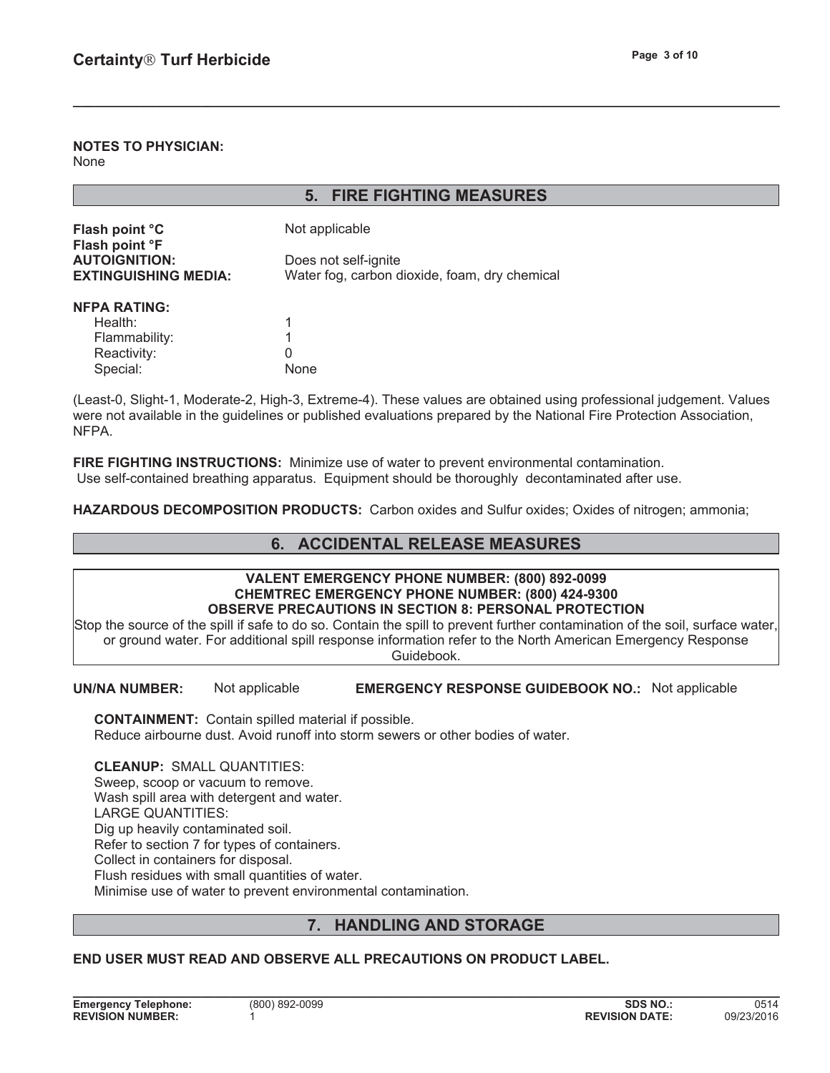#### **NOTES TO PHYSICIAN:** None

|                                  | <b>FIRE FIGHTING MEASURES</b><br>5.           |
|----------------------------------|-----------------------------------------------|
|                                  |                                               |
| Flash point °C<br>Flash point °F | Not applicable                                |
| <b>AUTOIGNITION:</b>             | Does not self-ignite                          |
| <b>EXTINGUISHING MEDIA:</b>      | Water fog, carbon dioxide, foam, dry chemical |
| <b>NFPA RATING:</b>              |                                               |
| Health:                          |                                               |
| Flammability:                    |                                               |
| Reactivity:                      | 0                                             |
| Special:                         | None                                          |

(Least-0, Slight-1, Moderate-2, High-3, Extreme-4). These values are obtained using professional judgement. Values were not available in the guidelines or published evaluations prepared by the National Fire Protection Association, NFPA.

**\_\_\_\_\_\_\_\_\_\_\_\_\_\_\_\_\_\_\_\_\_\_\_\_\_\_\_\_\_\_\_\_\_\_\_\_\_\_\_\_\_\_\_\_\_\_\_\_\_\_\_\_\_\_\_\_\_\_\_\_\_\_\_\_\_\_\_\_\_\_\_\_\_\_\_\_\_\_\_\_\_\_\_\_\_\_\_\_\_\_\_\_\_\_**

**FIRE FIGHTING INSTRUCTIONS:** Minimize use of water to prevent environmental contamination. Use self-contained breathing apparatus. Equipment should be thoroughly decontaminated after use.

**HAZARDOUS DECOMPOSITION PRODUCTS:** Carbon oxides and Sulfur oxides; Oxides of nitrogen; ammonia;

# **6. ACCIDENTAL RELEASE MEASURES**

#### **VALENT EMERGENCY PHONE NUMBER: (800) 892-0099 CHEMTREC EMERGENCY PHONE NUMBER: (800) 424-9300 OBSERVE PRECAUTIONS IN SECTION 8: PERSONAL PROTECTION**

Stop the source of the spill if safe to do so. Contain the spill to prevent further contamination of the soil, surface water, or ground water. For additional spill response information refer to the North American Emergency Response Guidebook.

**UN/NA NUMBER:** Not applicable **EMERGENCY RESPONSE GUIDEBOOK NO.:** Not applicable

**CONTAINMENT:** Contain spilled material if possible. Reduce airbourne dust. Avoid runoff into storm sewers or other bodies of water.

**CLEANUP:** SMALL QUANTITIES: Sweep, scoop or vacuum to remove. Wash spill area with detergent and water. LARGE QUANTITIES: Dig up heavily contaminated soil. Refer to section 7 for types of containers. Collect in containers for disposal. Flush residues with small quantities of water. Minimise use of water to prevent environmental contamination.

# **7. HANDLING AND STORAGE**

**\_\_\_\_\_\_\_\_\_\_\_\_\_\_\_\_\_\_\_\_\_\_\_\_\_\_\_\_\_\_\_\_\_\_\_\_\_\_\_\_\_\_\_\_\_\_\_\_\_\_\_\_\_\_\_\_\_\_\_\_\_\_\_\_\_\_\_\_\_\_\_\_\_\_\_\_\_\_\_\_\_\_\_\_\_\_\_\_\_\_\_\_\_\_**

## **END USER MUST READ AND OBSERVE ALL PRECAUTIONS ON PRODUCT LABEL.**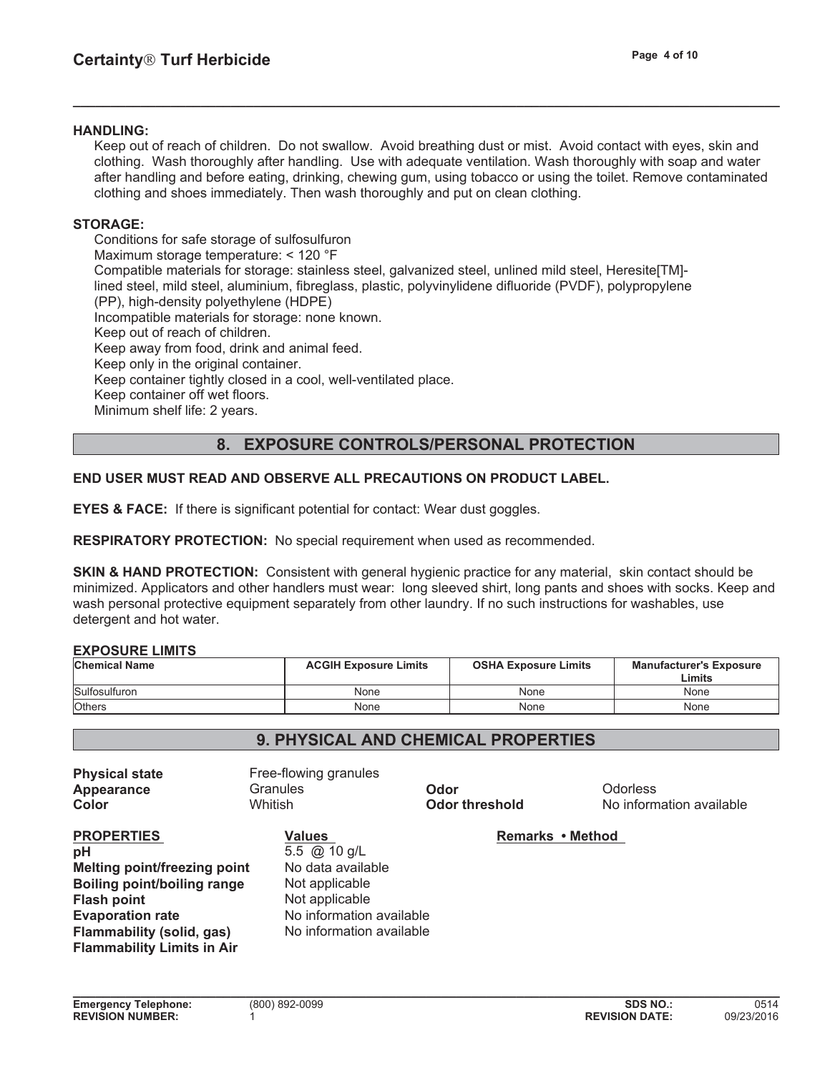#### **HANDLING:**

Keep out of reach of children. Do not swallow. Avoid breathing dust or mist. Avoid contact with eyes, skin and clothing. Wash thoroughly after handling. Use with adequate ventilation. Wash thoroughly with soap and water after handling and before eating, drinking, chewing gum, using tobacco or using the toilet. Remove contaminated clothing and shoes immediately. Then wash thoroughly and put on clean clothing.

**\_\_\_\_\_\_\_\_\_\_\_\_\_\_\_\_\_\_\_\_\_\_\_\_\_\_\_\_\_\_\_\_\_\_\_\_\_\_\_\_\_\_\_\_\_\_\_\_\_\_\_\_\_\_\_\_\_\_\_\_\_\_\_\_\_\_\_\_\_\_\_\_\_\_\_\_\_\_\_\_\_\_\_\_\_\_\_\_\_\_\_\_\_\_**

### **STORAGE:**

Conditions for safe storage of sulfosulfuron Maximum storage temperature: < 120 °F Compatible materials for storage: stainless steel, galvanized steel, unlined mild steel, Heresite[TM] lined steel, mild steel, aluminium, fibreglass, plastic, polyvinylidene difluoride (PVDF), polypropylene (PP), high-density polyethylene (HDPE) Incompatible materials for storage: none known. Keep out of reach of children. Keep away from food, drink and animal feed. Keep only in the original container. Keep container tightly closed in a cool, well-ventilated place. Keep container off wet floors. Minimum shelf life: 2 years.

## **8. EXPOSURE CONTROLS/PERSONAL PROTECTION**

## **END USER MUST READ AND OBSERVE ALL PRECAUTIONS ON PRODUCT LABEL.**

**EYES & FACE:** If there is significant potential for contact: Wear dust goggles.

**RESPIRATORY PROTECTION:** No special requirement when used as recommended.

**SKIN & HAND PROTECTION:** Consistent with general hygienic practice for any material, skin contact should be minimized. Applicators and other handlers must wear: long sleeved shirt, long pants and shoes with socks. Keep and wash personal protective equipment separately from other laundry. If no such instructions for washables, use detergent and hot water.

#### **EXPOSURE LIMITS**

| <b>Chemical Name</b> | <b>ACGIH Exposure Limits</b> | <b>OSHA Exposure Limits</b> | <b>Manufacturer's Exposure</b><br>Limits |
|----------------------|------------------------------|-----------------------------|------------------------------------------|
| Sulfosulfuron        | None                         | None                        | None                                     |
| <b>Others</b>        | None                         | None                        | None                                     |

## **9. PHYSICAL AND CHEMICAL PROPERTIES**

| <b>Physical state</b><br>Appearance<br>Color                                                                                                                         | Free-flowing granules<br>Granules<br>Whitish                                                                                                          | Odor<br><b>Odor threshold</b> | <b>Odorless</b><br>No information available |
|----------------------------------------------------------------------------------------------------------------------------------------------------------------------|-------------------------------------------------------------------------------------------------------------------------------------------------------|-------------------------------|---------------------------------------------|
| <b>PROPERTIES</b><br>pH<br>Melting point/freezing point<br>Boiling point/boiling range<br><b>Flash point</b><br><b>Evaporation rate</b><br>Flammability (solid, gas) | <b>Values</b><br>5.5 $\omega$ 10 g/L<br>No data available<br>Not applicable<br>Not applicable<br>No information available<br>No information available | Remarks • Method              |                                             |
| <b>Flammability Limits in Air</b>                                                                                                                                    |                                                                                                                                                       |                               |                                             |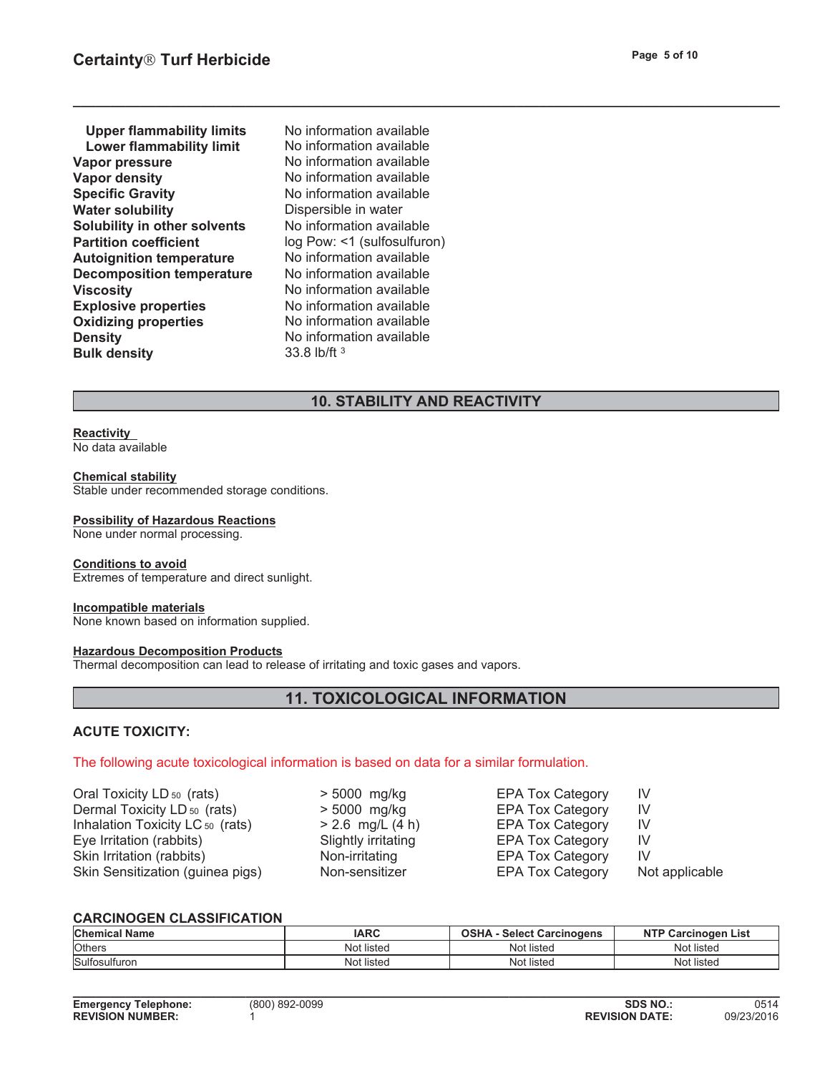| <b>Upper flammability limits</b>    |
|-------------------------------------|
| <b>Lower flammability limit</b>     |
| <b>Vapor pressure</b>               |
| <b>Vapor density</b>                |
| <b>Specific Gravity</b>             |
| <b>Water solubility</b>             |
| <b>Solubility in other solvents</b> |
| <b>Partition coefficient</b>        |
| <b>Autoignition temperature</b>     |
| <b>Decomposition temperature</b>    |
| <b>Viscosity</b>                    |
| <b>Explosive properties</b>         |
| <b>Oxidizing properties</b>         |
| <b>Density</b>                      |
| <b>Bulk density</b>                 |

**Explosive properties** No information available **Oxidizing properties** No information available **No information available Bulk density** 33.8 lb/ft 3 No information available No information available **Vapor pressure** No information available **No information available Specific Gravity** No information available **Dispersible in water No information available** log Pow: <1 (sulfosulfuron) **No information available No information available Viscosity** No information available

## **10. STABILITY AND REACTIVITY**

**\_\_\_\_\_\_\_\_\_\_\_\_\_\_\_\_\_\_\_\_\_\_\_\_\_\_\_\_\_\_\_\_\_\_\_\_\_\_\_\_\_\_\_\_\_\_\_\_\_\_\_\_\_\_\_\_\_\_\_\_\_\_\_\_\_\_\_\_\_\_\_\_\_\_\_\_\_\_\_\_\_\_\_\_\_\_\_\_\_\_\_\_\_\_**

# **Reactivity**

No data available

#### **Chemical stability**

Stable under recommended storage conditions.

#### **Possibility of Hazardous Reactions**

None under normal processing.

#### **Conditions to avoid**

Extremes of temperature and direct sunlight.

#### **Incompatible materials**

None known based on information supplied.

#### **Hazardous Decomposition Products**

Thermal decomposition can lead to release of irritating and toxic gases and vapors.

# **11. TOXICOLOGICAL INFORMATION**

#### **ACUTE TOXICITY:**

## The following acute toxicological information is based on data for a similar formulation.

Oral Toxicity LD <sub>50</sub> (rats)  $\rightarrow$  5000 mg/kg EPA Tox Category IV Dermal Toxicity LD <sub>50</sub> (rats)  $\rightarrow$  5000 mg/kg EPA Tox Category IV Inhalation Toxicity LC 50 (rats)  $> 2.6$  mg/L (4 h) EPA Tox Category IV Eye Irritation (rabbits) Slightly irritating Skin Irritation (rabbits) Non-irritating EPA Tox Category Skin Sensitization (guinea pigs) Non-sensitizer

EPA Tox Category IV IV EPA Tox Category Not applicable

#### **CARCINOGEN CLASSIFICATION**

| <b>Chemical</b><br>Name | <b>IARC</b>            | <b>Select Carcinogens</b> | <b>NTP</b><br>$\sim$<br>List<br>:inoaen |
|-------------------------|------------------------|---------------------------|-----------------------------------------|
| <b>lOthers</b>          | $\cdots$<br>Not listeo | $\cdots$<br>Not listed    | $\cdots$<br>Not listed                  |
| Sulfosulfuron           | $\cdots$<br>Not listed | Not listed                | Not listed                              |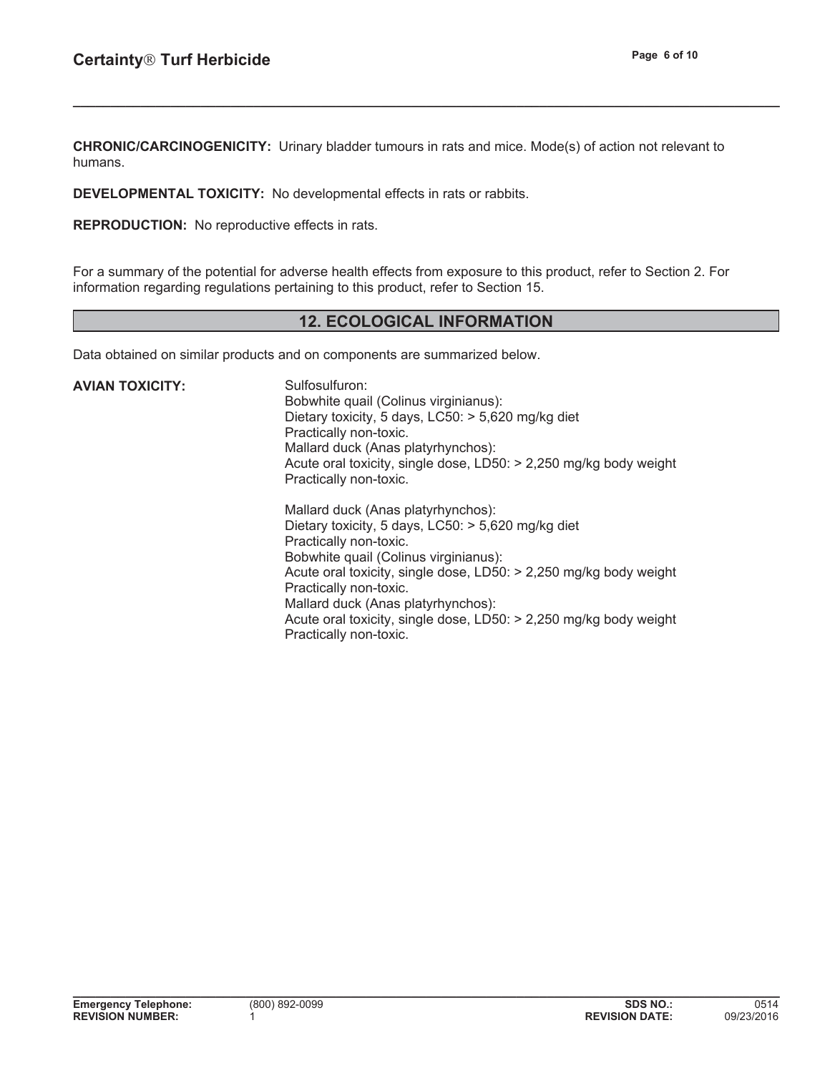**CHRONIC/CARCINOGENICITY:** Urinary bladder tumours in rats and mice. Mode(s) of action not relevant to humans.

**\_\_\_\_\_\_\_\_\_\_\_\_\_\_\_\_\_\_\_\_\_\_\_\_\_\_\_\_\_\_\_\_\_\_\_\_\_\_\_\_\_\_\_\_\_\_\_\_\_\_\_\_\_\_\_\_\_\_\_\_\_\_\_\_\_\_\_\_\_\_\_\_\_\_\_\_\_\_\_\_\_\_\_\_\_\_\_\_\_\_\_\_\_\_**

**DEVELOPMENTAL TOXICITY:** No developmental effects in rats or rabbits.

**REPRODUCTION:** No reproductive effects in rats.

For a summary of the potential for adverse health effects from exposure to this product, refer to Section 2. For information regarding regulations pertaining to this product, refer to Section 15.

# **12. ECOLOGICAL INFORMATION**

**\_\_\_\_\_\_\_\_\_\_\_\_\_\_\_\_\_\_\_\_\_\_\_\_\_\_\_\_\_\_\_\_\_\_\_\_\_\_\_\_\_\_\_\_\_\_\_\_\_\_\_\_\_\_\_\_\_\_\_\_\_\_\_\_\_\_\_\_\_\_\_\_\_\_\_\_\_\_\_\_\_\_\_\_\_\_\_\_\_\_\_\_\_\_**

Data obtained on similar products and on components are summarized below.

| AVIAN TOXICITY: | Sulfosulfuron:<br>Bobwhite quail (Colinus virginianus):<br>Dietary toxicity, 5 days, $LC50$ : $> 5,620$ mg/kg diet<br>Practically non-toxic.<br>Mallard duck (Anas platyrhynchos):<br>Acute oral toxicity, single dose, LD50: > 2,250 mg/kg body weight<br>Practically non-toxic.                                                                                                                    |
|-----------------|------------------------------------------------------------------------------------------------------------------------------------------------------------------------------------------------------------------------------------------------------------------------------------------------------------------------------------------------------------------------------------------------------|
|                 | Mallard duck (Anas platyrhynchos):<br>Dietary toxicity, 5 days, $LC50$ : $> 5,620$ mg/kg diet<br>Practically non-toxic.<br>Bobwhite quail (Colinus virginianus):<br>Acute oral toxicity, single dose, LD50: > 2,250 mg/kg body weight<br>Practically non-toxic.<br>Mallard duck (Anas platyrhynchos):<br>Acute oral toxicity, single dose, LD50: > 2,250 mg/kg body weight<br>Practically non-toxic. |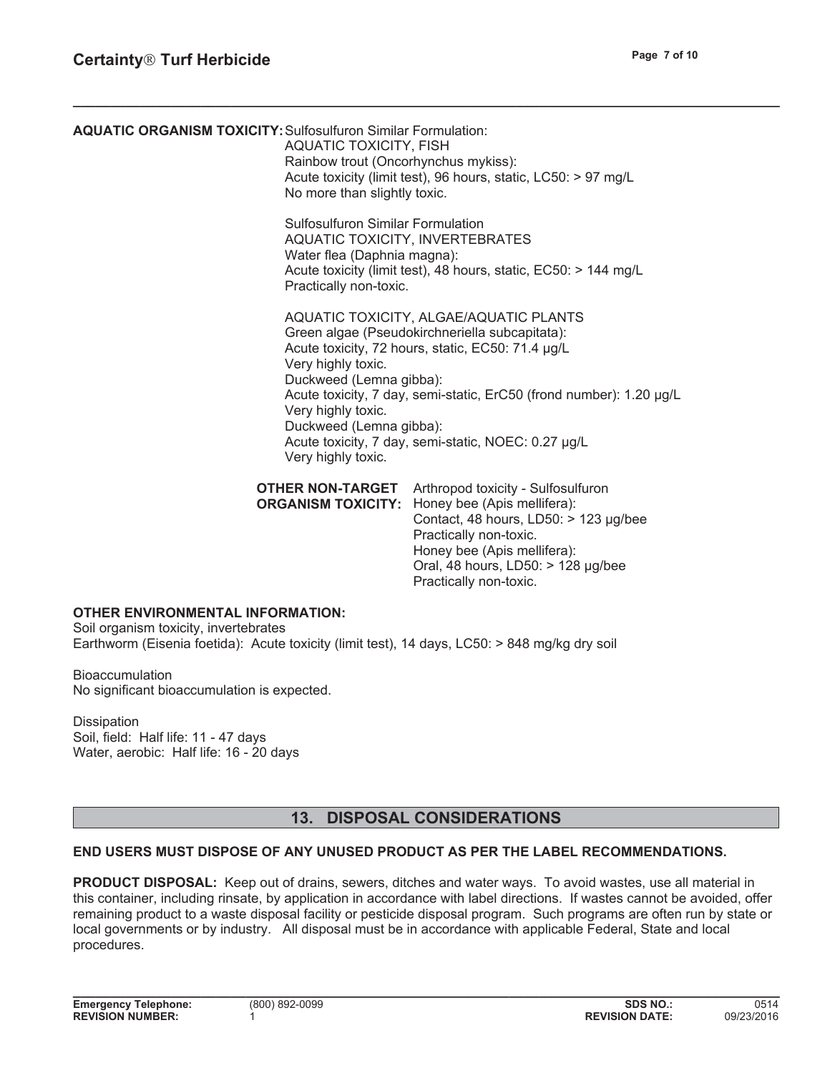**AQUATIC ORGANISM TOXICITY:**Sulfosulfuron Similar Formulation: AQUATIC TOXICITY, FISH Rainbow trout (Oncorhynchus mykiss): Acute toxicity (limit test), 96 hours, static, LC50: > 97 mg/L No more than slightly toxic. Sulfosulfuron Similar Formulation AQUATIC TOXICITY, INVERTEBRATES Water flea (Daphnia magna): Acute toxicity (limit test), 48 hours, static, EC50: > 144 mg/L Practically non-toxic. AQUATIC TOXICITY, ALGAE/AQUATIC PLANTS Green algae (Pseudokirchneriella subcapitata): Acute toxicity, 72 hours, static, EC50: 71.4 µg/L Very highly toxic. Duckweed (Lemna gibba): Acute toxicity, 7 day, semi-static, ErC50 (frond number): 1.20 µg/L Very highly toxic. Duckweed (Lemna gibba): Acute toxicity, 7 day, semi-static, NOEC: 0.27 µg/L Very highly toxic. **OTHER NON-TARGET** Arthropod toxicity - Sulfosulfuron **ORGANISM TOXICITY:** Honey bee (Apis mellifera): Contact, 48 hours,  $LD50:$  > 123 µg/bee Practically non-toxic. Honey bee (Apis mellifera):

**\_\_\_\_\_\_\_\_\_\_\_\_\_\_\_\_\_\_\_\_\_\_\_\_\_\_\_\_\_\_\_\_\_\_\_\_\_\_\_\_\_\_\_\_\_\_\_\_\_\_\_\_\_\_\_\_\_\_\_\_\_\_\_\_\_\_\_\_\_\_\_\_\_\_\_\_\_\_\_\_\_\_\_\_\_\_\_\_\_\_\_\_\_\_**

## **OTHER ENVIRONMENTAL INFORMATION:**

Soil organism toxicity, invertebrates Earthworm (Eisenia foetida): Acute toxicity (limit test), 14 days, LC50: > 848 mg/kg dry soil

**Bioaccumulation** No significant bioaccumulation is expected.

#### **Dissipation**

Soil, field: Half life: 11 - 47 days Water, aerobic: Half life: 16 - 20 days

## **13. DISPOSAL CONSIDERATIONS**

Oral, 48 hours,  $LD50:$  > 128  $\mu$ g/bee

Practically non-toxic.

#### **END USERS MUST DISPOSE OF ANY UNUSED PRODUCT AS PER THE LABEL RECOMMENDATIONS.**

**PRODUCT DISPOSAL:** Keep out of drains, sewers, ditches and water ways. To avoid wastes, use all material in this container, including rinsate, by application in accordance with label directions. If wastes cannot be avoided, offer remaining product to a waste disposal facility or pesticide disposal program. Such programs are often run by state or local governments or by industry. All disposal must be in accordance with applicable Federal, State and local procedures.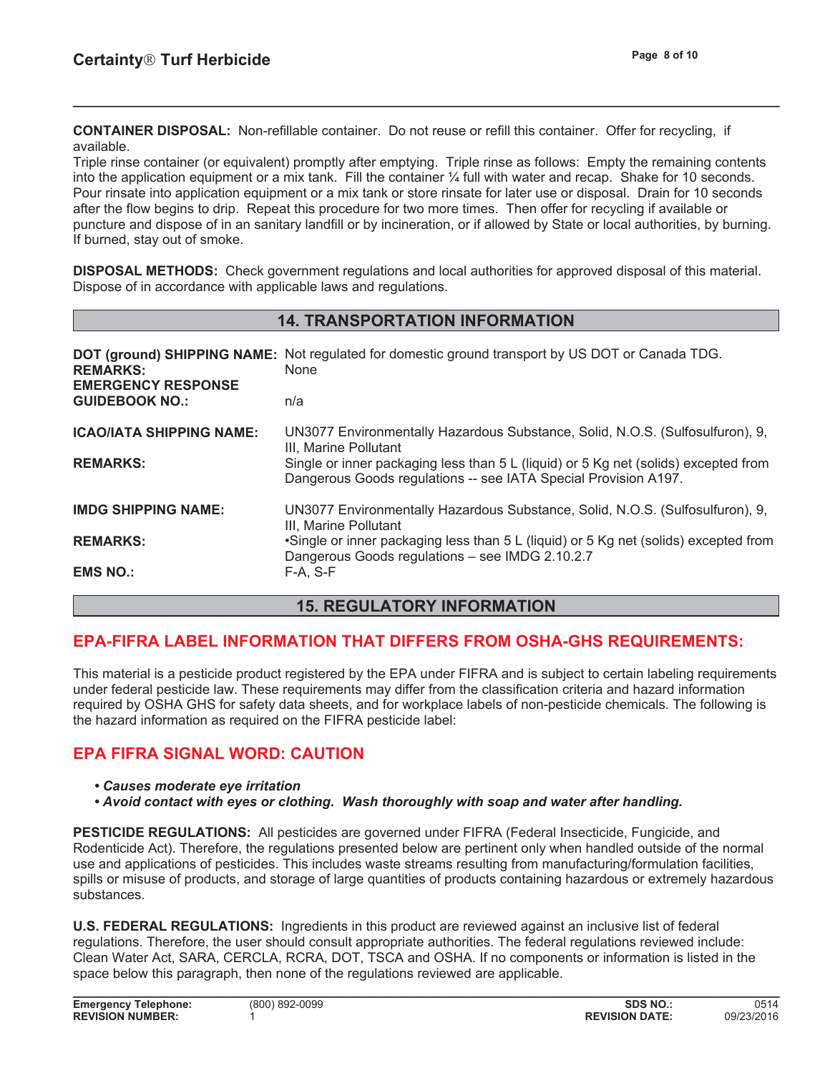**CONTAINER DISPOSAL:** Non-refillable container. Do not reuse or refill this container. Offer for recycling, if available.

Triple rinse container (or equivalent) promptly after emptying. Triple rinse as follows: Empty the remaining contents into the application equipment or a mix tank. Fill the container ¼ full with water and recap. Shake for 10 seconds. Pour rinsate into application equipment or a mix tank or store rinsate for later use or disposal. Drain for 10 seconds after the flow begins to drip. Repeat this procedure for two more times. Then offer for recycling if available or puncture and dispose of in an sanitary landfill or by incineration, or if allowed by State or local authorities, by burning. If burned, stay out of smoke.

**\_\_\_\_\_\_\_\_\_\_\_\_\_\_\_\_\_\_\_\_\_\_\_\_\_\_\_\_\_\_\_\_\_\_\_\_\_\_\_\_\_\_\_\_\_\_\_\_\_\_\_\_\_\_\_\_\_\_\_\_\_\_\_\_\_\_\_\_\_\_\_\_\_\_\_\_\_\_\_\_\_\_\_\_\_\_\_\_\_\_\_\_\_\_**

**DISPOSAL METHODS:** Check government regulations and local authorities for approved disposal of this material. Dispose of in accordance with applicable laws and regulations.

## **14. TRANSPORTATION INFORMATION**

| <b>REMARKS:</b><br><b>EMERGENCY RESPONSE</b><br><b>GUIDEBOOK NO.:</b> | <b>DOT (ground) SHIPPING NAME:</b> Not regulated for domestic ground transport by US DOT or Canada TDG.<br>None<br>n/a                                 |
|-----------------------------------------------------------------------|--------------------------------------------------------------------------------------------------------------------------------------------------------|
|                                                                       |                                                                                                                                                        |
| <b>ICAO/IATA SHIPPING NAME:</b>                                       | UN3077 Environmentally Hazardous Substance, Solid, N.O.S. (Sulfosulfuron), 9,<br>III, Marine Pollutant                                                 |
| <b>REMARKS:</b>                                                       | Single or inner packaging less than 5 L (liquid) or 5 Kg net (solids) excepted from<br>Dangerous Goods regulations -- see IATA Special Provision A197. |
| <b>IMDG SHIPPING NAME:</b>                                            | UN3077 Environmentally Hazardous Substance, Solid, N.O.S. (Sulfosulfuron), 9,<br>III, Marine Pollutant                                                 |
| <b>REMARKS:</b>                                                       | •Single or inner packaging less than 5 L (liquid) or 5 Kg net (solids) excepted from<br>Dangerous Goods regulations - see IMDG 2.10.2.7                |
| <b>EMS NO.:</b>                                                       | $F-A. S-F$                                                                                                                                             |

## **15. REGULATORY INFORMATION**

# **EPA-FIFRA LABEL INFORMATION THAT DIFFERS FROM OSHA-GHS REQUIREMENTS:**

This material is a pesticide product registered by the EPA under FIFRA and is subject to certain labeling requirements under federal pesticide law. These requirements may differ from the classification criteria and hazard information required by OSHA GHS for safety data sheets, and for workplace labels of non-pesticide chemicals. The following is the hazard information as required on the FIFRA pesticide label:

# **EPA FIFRA SIGNAL WORD: CAUTION**

- **\*** Causes moderate eye irritation
- **\*** Avoid contact with eyes or clothing. Wash thoroughly with soap and water after handling.

**PESTICIDE REGULATIONS:** All pesticides are governed under FIFRA (Federal Insecticide, Fungicide, and Rodenticide Act). Therefore, the regulations presented below are pertinent only when handled outside of the normal use and applications of pesticides. This includes waste streams resulting from manufacturing/formulation facilities, spills or misuse of products, and storage of large quantities of products containing hazardous or extremely hazardous substances.

**U.S. FEDERAL REGULATIONS:** Ingredients in this product are reviewed against an inclusive list of federal regulations. Therefore, the user should consult appropriate authorities. The federal regulations reviewed include: Clean Water Act, SARA, CERCLA, RCRA, DOT, TSCA and OSHA. If no components or information is listed in the space below this paragraph, then none of the regulations reviewed are applicable.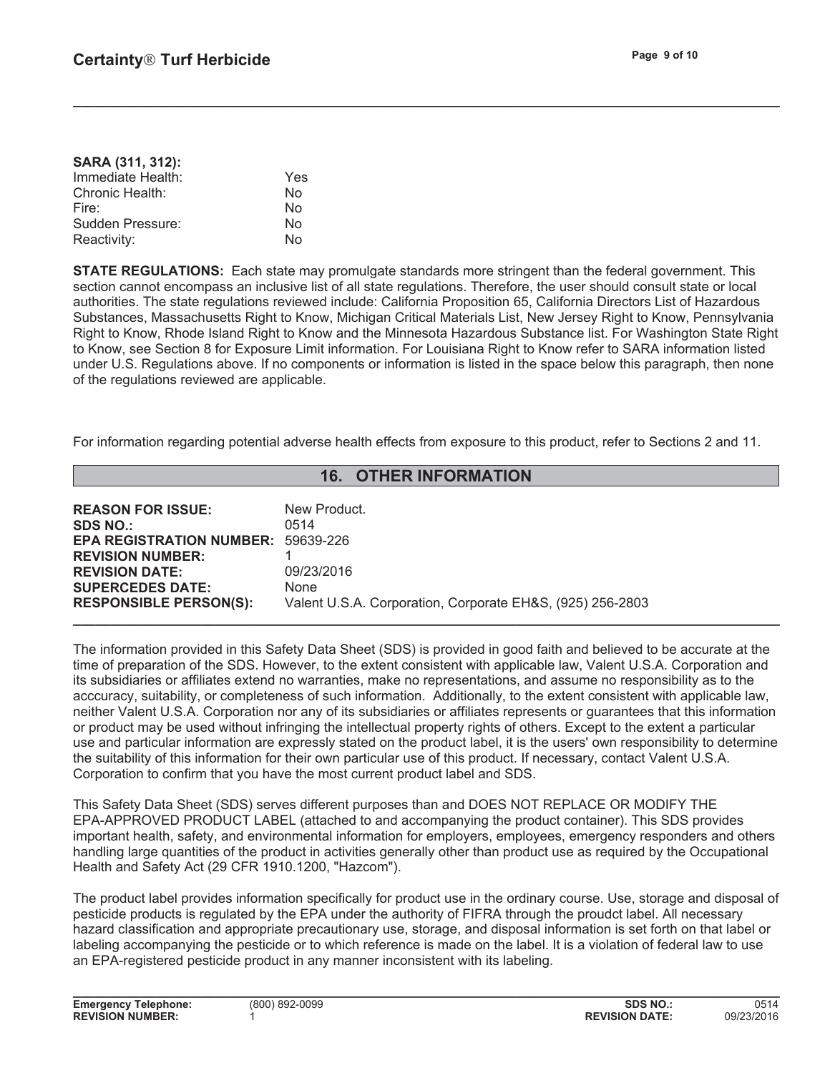**SARA (311, 312):**

| <b>SARA (311, 312):</b> |     |
|-------------------------|-----|
| Immediate Health:       | Yes |
| Chronic Health:         | No  |
| Fire:                   | No  |
| Sudden Pressure:        | No  |
| Reactivity:             | N٥  |

**STATE REGULATIONS:** Each state may promulgate standards more stringent than the federal government. This section cannot encompass an inclusive list of all state regulations. Therefore, the user should consult state or local authorities. The state regulations reviewed include: California Proposition 65, California Directors List of Hazardous Substances, Massachusetts Right to Know, Michigan Critical Materials List, New Jersey Right to Know, Pennsylvania Right to Know, Rhode Island Right to Know and the Minnesota Hazardous Substance list. For Washington State Right to Know, see Section 8 for Exposure Limit information. For Louisiana Right to Know refer to SARA information listed under U.S. Regulations above. If no components or information is listed in the space below this paragraph, then none of the regulations reviewed are applicable.

**\_\_\_\_\_\_\_\_\_\_\_\_\_\_\_\_\_\_\_\_\_\_\_\_\_\_\_\_\_\_\_\_\_\_\_\_\_\_\_\_\_\_\_\_\_\_\_\_\_\_\_\_\_\_\_\_\_\_\_\_\_\_\_\_\_\_\_\_\_\_\_\_\_\_\_\_\_\_\_\_\_\_\_\_\_\_\_\_\_\_\_\_\_\_**

For information regarding potential adverse health effects from exposure to this product, refer to Sections 2 and 11.

| <b>16. OTHER INFORMATION</b>                                                                                                                 |                                                                   |  |
|----------------------------------------------------------------------------------------------------------------------------------------------|-------------------------------------------------------------------|--|
| <b>REASON FOR ISSUE:</b><br><b>SDS NO.:</b><br><b>EPA REGISTRATION NUMBER: 59639-226</b><br><b>REVISION NUMBER:</b><br><b>REVISION DATE:</b> | New Product.<br>0514<br>09/23/2016                                |  |
| <b>SUPERCEDES DATE:</b><br><b>RESPONSIBLE PERSON(S):</b>                                                                                     | None<br>Valent U.S.A. Corporation, Corporate EH&S, (925) 256-2803 |  |

The information provided in this Safety Data Sheet (SDS) is provided in good faith and believed to be accurate at the time of preparation of the SDS. However, to the extent consistent with applicable law, Valent U.S.A. Corporation and its subsidiaries or affiliates extend no warranties, make no representations, and assume no responsibility as to the acccuracy, suitability, or completeness of such information. Additionally, to the extent consistent with applicable law, neither Valent U.S.A. Corporation nor any of its subsidiaries or affiliates represents or guarantees that this information or product may be used without infringing the intellectual property rights of others. Except to the extent a particular use and particular information are expressly stated on the product label, it is the users' own responsibility to determine the suitability of this information for their own particular use of this product. If necessary, contact Valent U.S.A. Corporation to confirm that you have the most current product label and SDS.

This Safety Data Sheet (SDS) serves different purposes than and DOES NOT REPLACE OR MODIFY THE EPA-APPROVED PRODUCT LABEL (attached to and accompanying the product container). This SDS provides important health, safety, and environmental information for employers, employees, emergency responders and others handling large quantities of the product in activities generally other than product use as required by the Occupational Health and Safety Act (29 CFR 1910.1200, "Hazcom").

The product label provides information specifically for product use in the ordinary course. Use, storage and disposal of pesticide products is regulated by the EPA under the authority of FIFRA through the proudct label. All necessary hazard classification and appropriate precautionary use, storage, and disposal information is set forth on that label or labeling accompanying the pesticide or to which reference is made on the label. It is a violation of federal law to use an EPA-registered pesticide product in any manner inconsistent with its labeling.